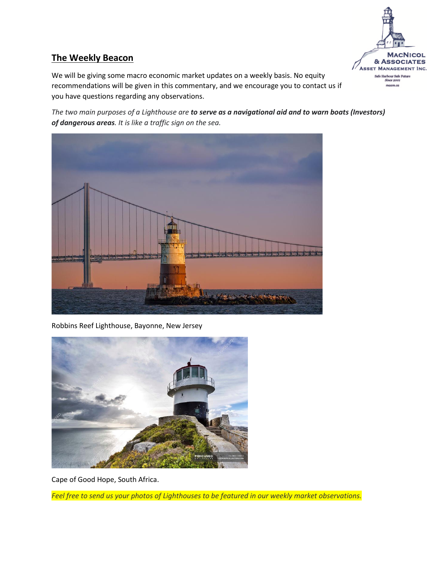

### **The Weekly Beacon**

We will be giving some macro economic market updates on a weekly basis. No equity recommendations will be given in this commentary, and we encourage you to contact us if you have questions regarding any observations.

*The two main purposes of a Lighthouse are to serve as a navigational aid and to warn boats (Investors) of dangerous areas. It is like a traffic sign on the sea.*



Robbins Reef Lighthouse, Bayonne, New Jersey



Cape of Good Hope, South Africa.

*Feel free to send us your photos of Lighthouses to be featured in our weekly market observations.*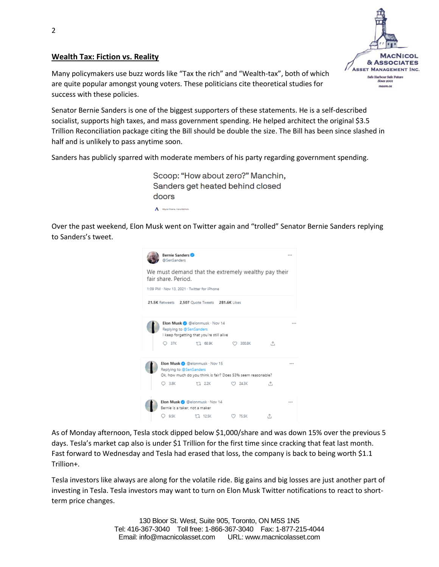#### **Wealth Tax: Fiction vs. Reality**



Many policymakers use buzz words like "Tax the rich" and "Wealth-tax", both of which are quite popular amongst young voters. These politicians cite theoretical studies for success with these policies.

Senator Bernie Sanders is one of the biggest supporters of these statements. He is a self-described socialist, supports high taxes, and mass government spending. He helped architect the original \$3.5 Trillion Reconciliation package citing the Bill should be double the size. The Bill has been since slashed in half and is unlikely to pass anytime soon.

Sanders has publicly sparred with moderate members of his party regarding government spending.

Scoop: "How about zero?" Manchin, Sanders get heated behind closed doors Alayna Treene, Hans Nichols

Over the past weekend, Elon Musk went on Twitter again and "trolled" Senator Bernie Sanders replying to Sanders's tweet.

|                                                                            | <b>Bernie Sanders</b><br>@SenSanders |                                                                           |                                                              |     | 1.11 |  |  |  |  |  |
|----------------------------------------------------------------------------|--------------------------------------|---------------------------------------------------------------------------|--------------------------------------------------------------|-----|------|--|--|--|--|--|
| We must demand that the extremely wealthy pay their<br>fair share. Period. |                                      |                                                                           |                                                              |     |      |  |  |  |  |  |
|                                                                            |                                      | 1:09 PM - Nov 13, 2021 - Twitter for iPhone                               |                                                              |     |      |  |  |  |  |  |
| 21.5K Retweets 2.507 Quote Tweets 281.6K Likes                             |                                      |                                                                           |                                                              |     |      |  |  |  |  |  |
|                                                                            | Replying to @SenSanders              | Elon Musk & @elonmusk Nov 14<br>I keep forgetting that you're still alive |                                                              |     |      |  |  |  |  |  |
|                                                                            | O 37K                                | 17. 68.9K                                                                 | 2 300.8K                                                     | Λ.  |      |  |  |  |  |  |
|                                                                            | Replying to @SenSanders              | Elon Musk @ @elonmusk - Nov 15                                            | Ok, how much do you think is fair? Does 53% seem reasonable? |     |      |  |  |  |  |  |
|                                                                            | $O$ 3.8K                             | 17 2.2K                                                                   | 24.3K                                                        | Λ,  |      |  |  |  |  |  |
|                                                                            | Bernie is a taker, not a maker       | Elon Musk @ @elonmusk · Nov 14                                            |                                                              |     |      |  |  |  |  |  |
|                                                                            | 9.5K                                 | 17. 12.5K                                                                 | 75.5K                                                        | ,Υ, |      |  |  |  |  |  |

As of Monday afternoon, Tesla stock dipped below \$1,000/share and was down 15% over the previous 5 days. Tesla's market cap also is under \$1 Trillion for the first time since cracking that feat last month. Fast forward to Wednesday and Tesla had erased that loss, the company is back to being worth \$1.1 Trillion+.

Tesla investors like always are along for the volatile ride. Big gains and big losses are just another part of investing in Tesla. Tesla investors may want to turn on Elon Musk Twitter notifications to react to shortterm price changes.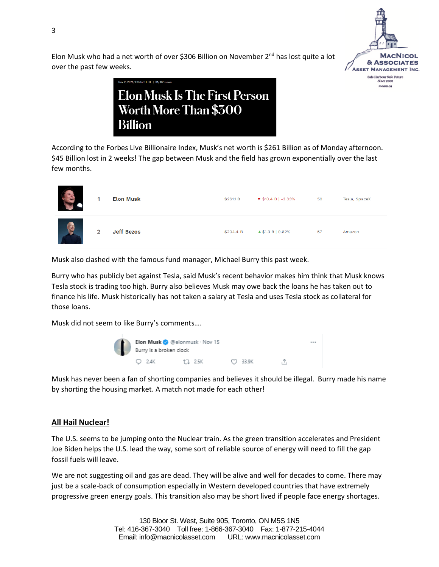

Elon Musk who had a net worth of over \$306 Billion on November  $2<sup>nd</sup>$  has lost quite a lot over the past few weeks.

> Elon Musk Is The First Person Worth More Than \$300 **Billion**

According to the Forbes Live Billionaire Index, Musk's net worth is \$261 Billion as of Monday afternoon. \$45 Billion lost in 2 weeks! The gap between Musk and the field has grown exponentially over the last few months.

| $\blacksquare$ |                | <b>Elon Musk</b>  | \$261.1 B | $\blacktriangledown$ \$10.4 B   -3.83% | 50 | Tesla, SpaceX |
|----------------|----------------|-------------------|-----------|----------------------------------------|----|---------------|
|                | $\overline{2}$ | <b>Jeff Bezos</b> | \$204.4 B | $\triangle$ \$1.3 B   0.62%            | 57 | Amazon        |

Musk also clashed with the famous fund manager, Michael Burry this past week.

Burry who has publicly bet against Tesla, said Musk's recent behavior makes him think that Musk knows Tesla stock is trading too high. Burry also believes Musk may owe back the loans he has taken out to finance his life. Musk historically has not taken a salary at Tesla and uses Tesla stock as collateral for those loans.

Musk did not seem to like Burry's comments….



Musk has never been a fan of shorting companies and believes it should be illegal. Burry made his name by shorting the housing market. A match not made for each other!

#### **All Hail Nuclear!**

The U.S. seems to be jumping onto the Nuclear train. As the green transition accelerates and President Joe Biden helps the U.S. lead the way, some sort of reliable source of energy will need to fill the gap fossil fuels will leave.

We are not suggesting oil and gas are dead. They will be alive and well for decades to come. There may just be a scale-back of consumption especially in Western developed countries that have extremely progressive green energy goals. This transition also may be short lived if people face energy shortages.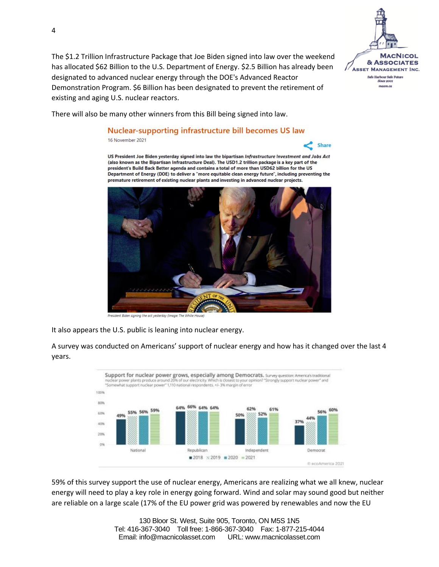The \$1.2 Trillion Infrastructure Package that Joe Biden signed into law over the weekend has allocated \$62 Billion to the U.S. Department of Energy. \$2.5 Billion has already been designated to advanced nuclear energy through the DOE's Advanced Reactor Demonstration Program. \$6 Billion has been designated to prevent the retirement of existing and aging U.S. nuclear reactors.



## Nuclear-supporting infrastructure bill becomes US law

16 November 2021





Biden signing the act yesterday (Image: The W

It also appears the U.S. public is leaning into nuclear energy.

A survey was conducted on Americans' support of nuclear energy and how has it changed over the last 4 years.



59% of this survey support the use of nuclear energy, Americans are realizing what we all knew, nuclear energy will need to play a key role in energy going forward. Wind and solar may sound good but neither are reliable on a large scale (17% of the EU power grid was powered by renewables and now the EU

> 130 Bloor St. West, Suite 905, Toronto, ON M5S 1N5 Tel: 416-367-3040 Toll free: 1-866-367-3040 Fax: 1-877-215-4044 Email: info@macnicolasset.com URL: www.macnicolasset.com



**Share**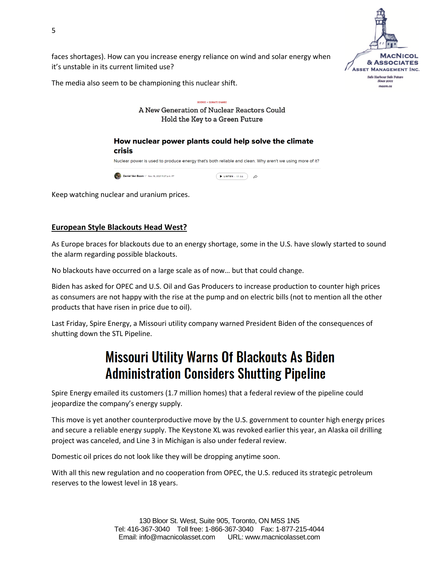

faces shortages). How can you increase energy reliance on wind and solar energy when it's unstable in its current limited use?

The media also seem to be championing this nuclear shift.



Keep watching nuclear and uranium prices.

#### **European Style Blackouts Head West?**

As Europe braces for blackouts due to an energy shortage, some in the U.S. have slowly started to sound the alarm regarding possible blackouts.

No blackouts have occurred on a large scale as of now… but that could change.

Biden has asked for OPEC and U.S. Oil and Gas Producers to increase production to counter high prices as consumers are not happy with the rise at the pump and on electric bills (not to mention all the other products that have risen in price due to oil).

Last Friday, Spire Energy, a Missouri utility company warned President Biden of the consequences of shutting down the STL Pipeline.

# **Missouri Utility Warns Of Blackouts As Biden Administration Considers Shutting Pipeline**

Spire Energy emailed its customers (1.7 million homes) that a federal review of the pipeline could jeopardize the company's energy supply.

This move is yet another counterproductive move by the U.S. government to counter high energy prices and secure a reliable energy supply. The Keystone XL was revoked earlier this year, an Alaska oil drilling project was canceled, and Line 3 in Michigan is also under federal review.

Domestic oil prices do not look like they will be dropping anytime soon.

With all this new regulation and no cooperation from OPEC, the U.S. reduced its strategic petroleum reserves to the lowest level in 18 years.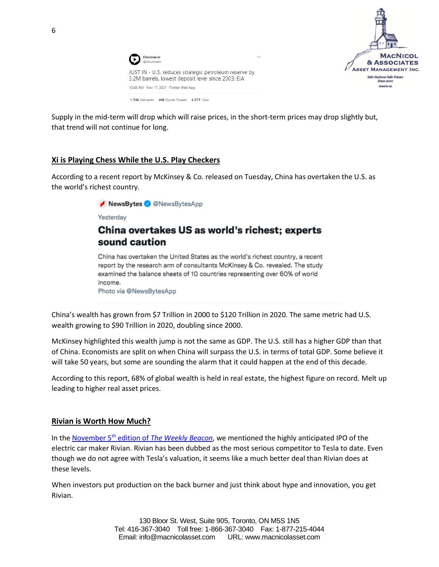



Supply in the mid-term will drop which will raise prices, in the short-term prices may drop slightly but, that trend will not continue for long.

#### **Xi is Playing Chess While the U.S. Play Checkers**

According to a recent report by McKinsey & Co. released on Tuesday, China has overtaken the U.S. as the world's richest country.

NewsBytes @NewsBytesApp

Yesterday

### China overtakes US as world's richest; experts sound caution

China has overtaken the United States as the world's richest country, a recent report by the research arm of consultants McKinsey & Co. revealed. The study examined the balance sheets of 10 countries representing over 60% of world income. Photo via @NewsBytesApp

China's wealth has grown from \$7 Trillion in 2000 to \$120 Trillion in 2020. The same metric had U.S. wealth growing to \$90 Trillion in 2020, doubling since 2000.

McKinsey highlighted this wealth jump is not the same as GDP. The U.S. still has a higher GDP than that of China. Economists are split on when China will surpass the U.S. in terms of total GDP. Some believe it will take 50 years, but some are sounding the alarm that it could happen at the end of this decade.

According to this report, 68% of global wealth is held in real estate, the highest figure on record. Melt up leading to higher real asset prices.

#### **Rivian is Worth How Much?**

In the November 5th edition of *[The Weekly Beacon](https://www.macnicolasset.com/the-weekly-beacon-november-5-2021/)*, we mentioned the highly anticipated IPO of the electric car maker Rivian. Rivian has been dubbed as the most serious competitor to Tesla to date. Even though we do not agree with Tesla's valuation, it seems like a much better deal than Rivian does at these levels.

When investors put production on the back burner and just think about hype and innovation, you get Rivian.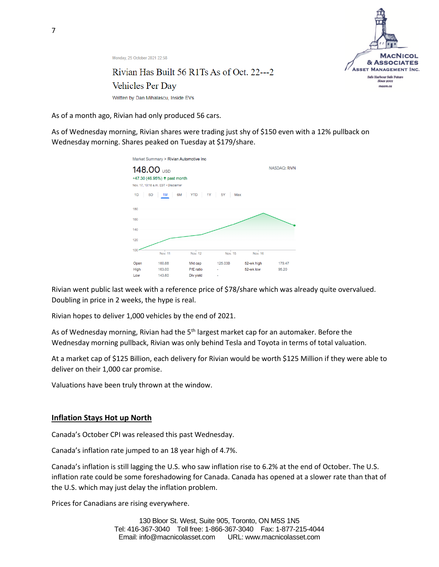

Monday, 25 October 2021 22:58

### Rivian Has Built 56 R1Ts As of Oct. 22---2 Vehicles Per Day Written by Dan Mihalascu, Inside EVs

As of a month ago, Rivian had only produced 56 cars.

As of Wednesday morning, Rivian shares were trading just shy of \$150 even with a 12% pullback on Wednesday morning. Shares peaked on Tuesday at \$179/share.



Rivian went public last week with a reference price of \$78/share which was already quite overvalued. Doubling in price in 2 weeks, the hype is real.

Rivian hopes to deliver 1,000 vehicles by the end of 2021.

As of Wednesday morning, Rivian had the 5<sup>th</sup> largest market cap for an automaker. Before the Wednesday morning pullback, Rivian was only behind Tesla and Toyota in terms of total valuation.

At a market cap of \$125 Billion, each delivery for Rivian would be worth \$125 Million if they were able to deliver on their 1,000 car promise.

Valuations have been truly thrown at the window.

#### **Inflation Stays Hot up North**

Canada's October CPI was released this past Wednesday.

Canada's inflation rate jumped to an 18 year high of 4.7%.

Canada's inflation is still lagging the U.S. who saw inflation rise to 6.2% at the end of October. The U.S. inflation rate could be some foreshadowing for Canada. Canada has opened at a slower rate than that of the U.S. which may just delay the inflation problem.

Prices for Canadians are rising everywhere.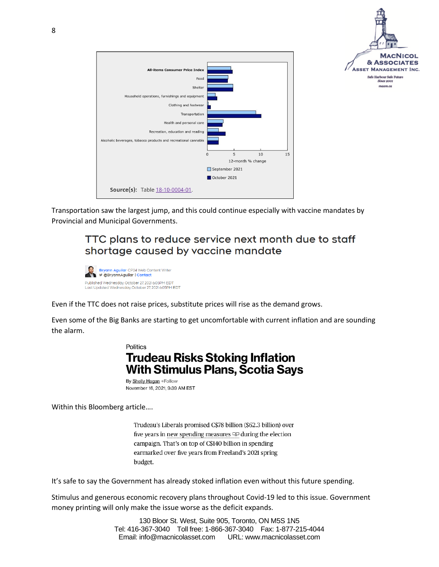

Transportation saw the largest jump, and this could continue especially with vaccine mandates by Provincial and Municipal Governments.

### TTC plans to reduce service next month due to staff shortage caused by vaccine mandate



Even if the TTC does not raise prices, substitute prices will rise as the demand grows.

Even some of the Big Banks are starting to get uncomfortable with current inflation and are sounding the alarm.

### **Politics Trudeau Risks Stoking Inflation With Stimulus Plans, Scotia Says**

By Shelly Hagan +Follow November 16, 2021, 9:39 AM EST

Within this Bloomberg article….

Trudeau's Liberals promised C\$78 billion (\$62.3 billion) over five years in new spending measures  $\mathbb{Q}$  during the election campaign. That's on top of C\$140 billion in spending earmarked over five years from Freeland's 2021 spring budget.

It's safe to say the Government has already stoked inflation even without this future spending.

Stimulus and generous economic recovery plans throughout Covid-19 led to this issue. Government money printing will only make the issue worse as the deficit expands.

> 130 Bloor St. West, Suite 905, Toronto, ON M5S 1N5 Tel: 416-367-3040 Toll free: 1-866-367-3040 Fax: 1-877-215-4044 Email: info@macnicolasset.com URL: www.macnicolasset.com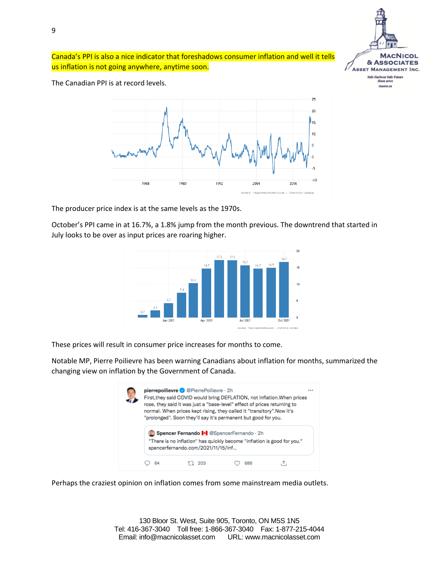

Canada's PPI is also a nice indicator that foreshadows consumer inflation and well it tells us inflation is not going anywhere, anytime soon.

The Canadian PPI is at record levels.



The producer price index is at the same levels as the 1970s.

October's PPI came in at 16.7%, a 1.8% jump from the month previous. The downtrend that started in July looks to be over as input prices are roaring higher.



These prices will result in consumer price increases for months to come.

Notable MP, Pierre Poilievre has been warning Canadians about inflation for months, summarized the changing view on inflation by the Government of Canada.



Perhaps the craziest opinion on inflation comes from some mainstream media outlets.